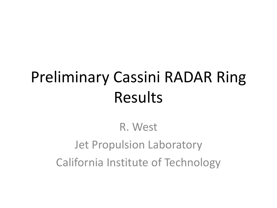# Preliminary Cassini RADAR Ring Results

R. West Jet Propulsion Laboratory California Institute of Technology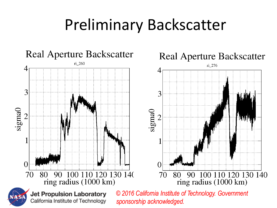## Preliminary Backscatter

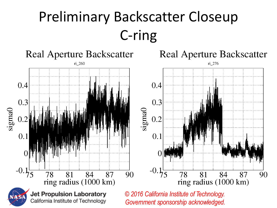## Preliminary Backscatter Closeup C-ring

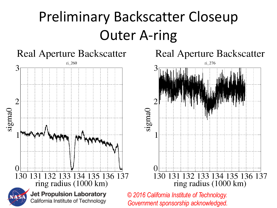## Preliminary Backscatter Closeup Outer A-ring

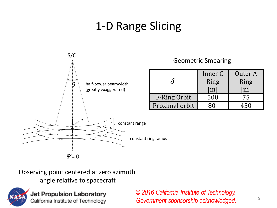#### 1-D Range Slicing



#### Geometric Smearing

|                     | Inner C<br>Ring<br>$\mathbf{m}$ | Outer A<br>Ring |
|---------------------|---------------------------------|-----------------|
| <b>F-Ring Orbit</b> | 500                             | 75              |
| Proximal orbit      |                                 |                 |

Observing point centered at zero azimuth



**Jet Propulsion Laboratory** California Institute of Technology

*© 2016 California Institute of Technology. Government sponsorship acknowledged.*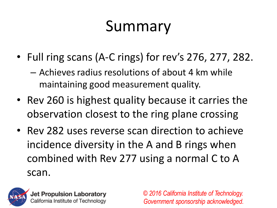# Summary

- Full ring scans (A-C rings) for rev's 276, 277, 282.
	- Achieves radius resolutions of about 4 km while maintaining good measurement quality.
- Rev 260 is highest quality because it carries the observation closest to the ring plane crossing
- Rev 282 uses reverse scan direction to achieve incidence diversity in the A and B rings when combined with Rev 277 using a normal C to A scan.



**Jet Propulsion Laboratory** California Institute of Technology

*© 2016 California Institute of Technology. Government sponsorship acknowledged.*